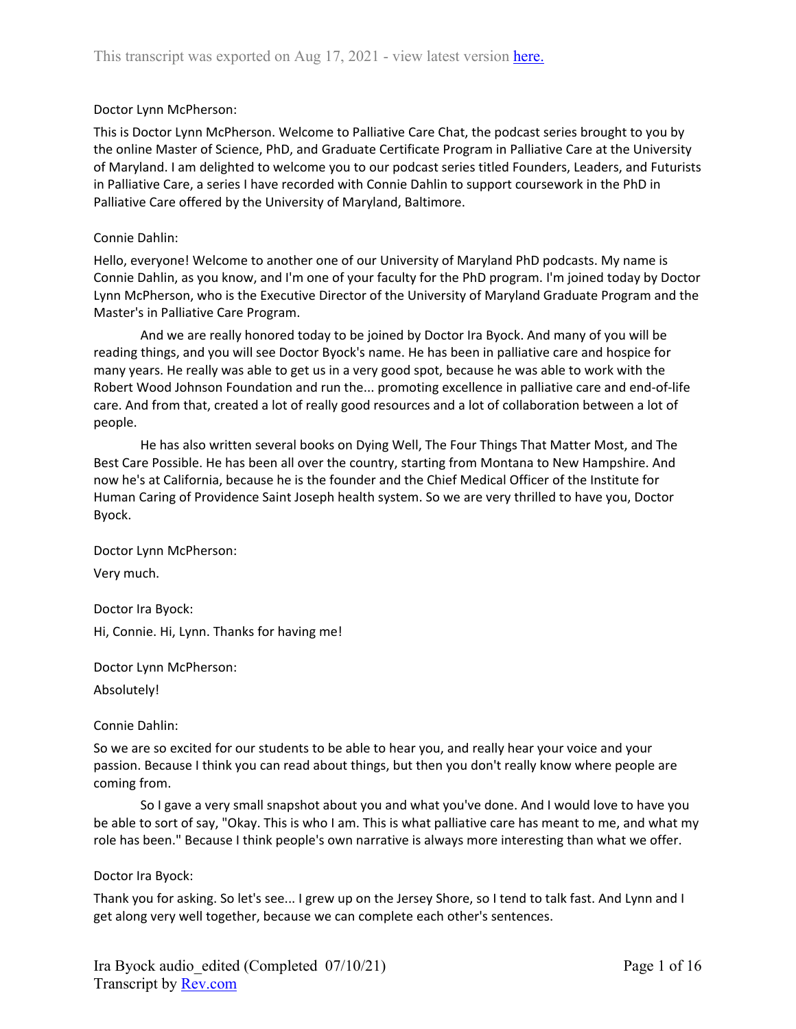## Doctor Lynn McPherson:

This is Doctor Lynn McPherson. Welcome to Palliative Care Chat, the podcast series brought to you by the online Master of Science, PhD, and Graduate Certificate Program in Palliative Care at the University of Maryland. I am delighted to welcome you to our podcast series titled Founders, Leaders, and Futurists in Palliative Care, a series I have recorded with Connie Dahlin to support coursework in the PhD in Palliative Care offered by the University of Maryland, Baltimore.

#### Connie Dahlin:

Hello, everyone! Welcome to another one of our University of Maryland PhD podcasts. My name is Connie Dahlin, as you know, and I'm one of your faculty for the PhD program. I'm joined today by Doctor Lynn McPherson, who is the Executive Director of the University of Maryland Graduate Program and the Master's in Palliative Care Program.

And we are really honored today to be joined by Doctor Ira Byock. And many of you will be reading things, and you will see Doctor Byock's name. He has been in palliative care and hospice for many years. He really was able to get us in a very good spot, because he was able to work with the Robert Wood Johnson Foundation and run the... promoting excellence in palliative care and end-of-life care. And from that, created a lot of really good resources and a lot of collaboration between a lot of people.

He has also written several books on Dying Well, The Four Things That Matter Most, and The Best Care Possible. He has been all over the country, starting from Montana to New Hampshire. And now he's at California, because he is the founder and the Chief Medical Officer of the Institute for Human Caring of Providence Saint Joseph health system. So we are very thrilled to have you, Doctor Byock.

Doctor Lynn McPherson: Very much.

Doctor Ira Byock:

Hi, Connie. Hi, Lynn. Thanks for having me!

Doctor Lynn McPherson:

Absolutely!

Connie Dahlin:

So we are so excited for our students to be able to hear you, and really hear your voice and your passion. Because I think you can read about things, but then you don't really know where people are coming from.

So I gave a very small snapshot about you and what you've done. And I would love to have you be able to sort of say, "Okay. This is who I am. This is what palliative care has meant to me, and what my role has been." Because I think people's own narrative is always more interesting than what we offer.

## Doctor Ira Byock:

Thank you for asking. So let's see... I grew up on the Jersey Shore, so I tend to talk fast. And Lynn and I get along very well together, because we can complete each other's sentences.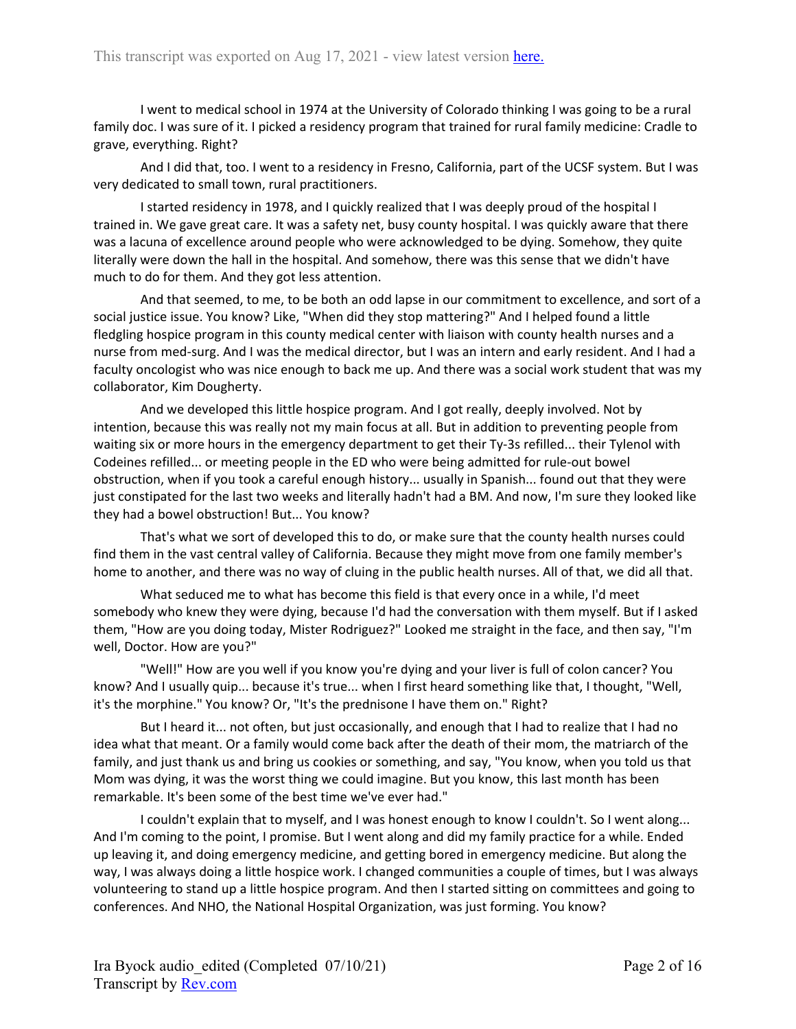I went to medical school in 1974 at the University of Colorado thinking I was going to be a rural family doc. I was sure of it. I picked a residency program that trained for rural family medicine: Cradle to grave, everything. Right?

And I did that, too. I went to a residency in Fresno, California, part of the UCSF system. But I was very dedicated to small town, rural practitioners.

I started residency in 1978, and I quickly realized that I was deeply proud of the hospital I trained in. We gave great care. It was a safety net, busy county hospital. I was quickly aware that there was a lacuna of excellence around people who were acknowledged to be dying. Somehow, they quite literally were down the hall in the hospital. And somehow, there was this sense that we didn't have much to do for them. And they got less attention.

And that seemed, to me, to be both an odd lapse in our commitment to excellence, and sort of a social justice issue. You know? Like, "When did they stop mattering?" And I helped found a little fledgling hospice program in this county medical center with liaison with county health nurses and a nurse from med-surg. And I was the medical director, but I was an intern and early resident. And I had a faculty oncologist who was nice enough to back me up. And there was a social work student that was my collaborator, Kim Dougherty.

And we developed this little hospice program. And I got really, deeply involved. Not by intention, because this was really not my main focus at all. But in addition to preventing people from waiting six or more hours in the emergency department to get their Ty-3s refilled... their Tylenol with Codeines refilled... or meeting people in the ED who were being admitted for rule-out bowel obstruction, when if you took a careful enough history... usually in Spanish... found out that they were just constipated for the last two weeks and literally hadn't had a BM. And now, I'm sure they looked like they had a bowel obstruction! But... You know?

That's what we sort of developed this to do, or make sure that the county health nurses could find them in the vast central valley of California. Because they might move from one family member's home to another, and there was no way of cluing in the public health nurses. All of that, we did all that.

What seduced me to what has become this field is that every once in a while, I'd meet somebody who knew they were dying, because I'd had the conversation with them myself. But if I asked them, "How are you doing today, Mister Rodriguez?" Looked me straight in the face, and then say, "I'm well, Doctor. How are you?"

"Well!" How are you well if you know you're dying and your liver is full of colon cancer? You know? And I usually quip... because it's true... when I first heard something like that, I thought, "Well, it's the morphine." You know? Or, "It's the prednisone I have them on." Right?

But I heard it... not often, but just occasionally, and enough that I had to realize that I had no idea what that meant. Or a family would come back after the death of their mom, the matriarch of the family, and just thank us and bring us cookies or something, and say, "You know, when you told us that Mom was dying, it was the worst thing we could imagine. But you know, this last month has been remarkable. It's been some of the best time we've ever had."

I couldn't explain that to myself, and I was honest enough to know I couldn't. So I went along... And I'm coming to the point, I promise. But I went along and did my family practice for a while. Ended up leaving it, and doing emergency medicine, and getting bored in emergency medicine. But along the way, I was always doing a little hospice work. I changed communities a couple of times, but I was always volunteering to stand up a little hospice program. And then I started sitting on committees and going to conferences. And NHO, the National Hospital Organization, was just forming. You know?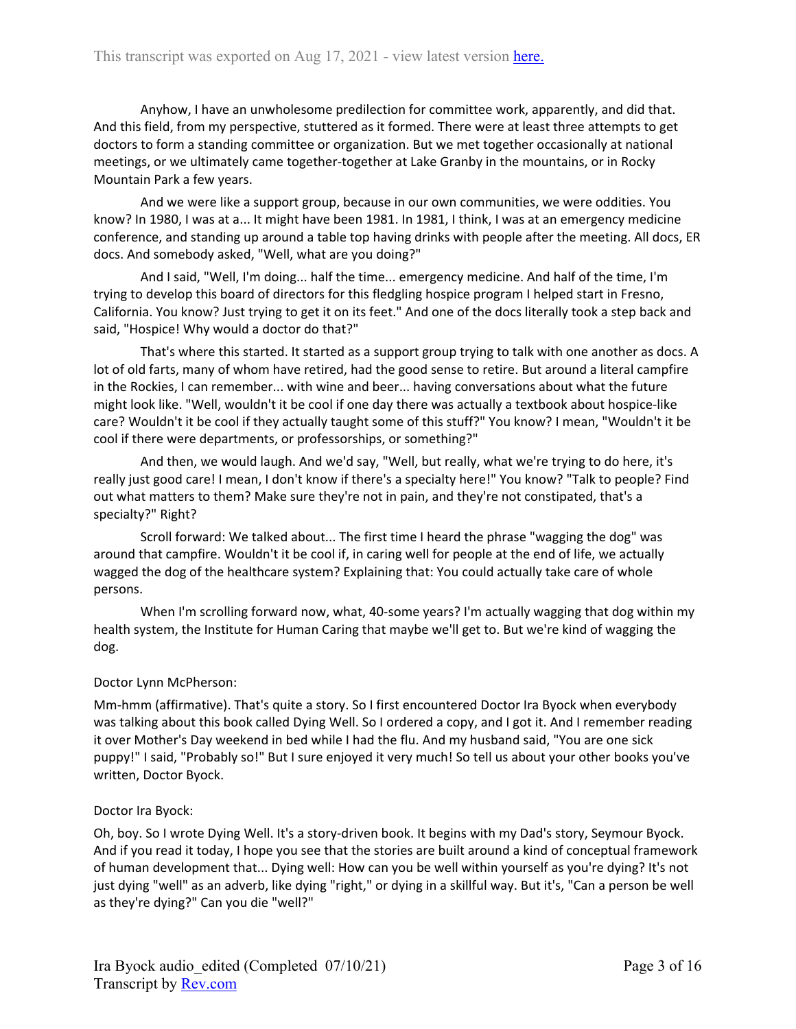Anyhow, I have an unwholesome predilection for committee work, apparently, and did that. And this field, from my perspective, stuttered as it formed. There were at least three attempts to get doctors to form a standing committee or organization. But we met together occasionally at national meetings, or we ultimately came together-together at Lake Granby in the mountains, or in Rocky Mountain Park a few years.

And we were like a support group, because in our own communities, we were oddities. You know? In 1980, I was at a... It might have been 1981. In 1981, I think, I was at an emergency medicine conference, and standing up around a table top having drinks with people after the meeting. All docs, ER docs. And somebody asked, "Well, what are you doing?"

And I said, "Well, I'm doing... half the time... emergency medicine. And half of the time, I'm trying to develop this board of directors for this fledgling hospice program I helped start in Fresno, California. You know? Just trying to get it on its feet." And one of the docs literally took a step back and said, "Hospice! Why would a doctor do that?"

That's where this started. It started as a support group trying to talk with one another as docs. A lot of old farts, many of whom have retired, had the good sense to retire. But around a literal campfire in the Rockies, I can remember... with wine and beer... having conversations about what the future might look like. "Well, wouldn't it be cool if one day there was actually a textbook about hospice-like care? Wouldn't it be cool if they actually taught some of this stuff?" You know? I mean, "Wouldn't it be cool if there were departments, or professorships, or something?"

And then, we would laugh. And we'd say, "Well, but really, what we're trying to do here, it's really just good care! I mean, I don't know if there's a specialty here!" You know? "Talk to people? Find out what matters to them? Make sure they're not in pain, and they're not constipated, that's a specialty?" Right?

Scroll forward: We talked about... The first time I heard the phrase "wagging the dog" was around that campfire. Wouldn't it be cool if, in caring well for people at the end of life, we actually wagged the dog of the healthcare system? Explaining that: You could actually take care of whole persons.

When I'm scrolling forward now, what, 40-some years? I'm actually wagging that dog within my health system, the Institute for Human Caring that maybe we'll get to. But we're kind of wagging the dog.

# Doctor Lynn McPherson:

Mm-hmm (affirmative). That's quite a story. So I first encountered Doctor Ira Byock when everybody was talking about this book called Dying Well. So I ordered a copy, and I got it. And I remember reading it over Mother's Day weekend in bed while I had the flu. And my husband said, "You are one sick puppy!" I said, "Probably so!" But I sure enjoyed it very much! So tell us about your other books you've written, Doctor Byock.

## Doctor Ira Byock:

Oh, boy. So I wrote Dying Well. It's a story-driven book. It begins with my Dad's story, Seymour Byock. And if you read it today, I hope you see that the stories are built around a kind of conceptual framework of human development that... Dying well: How can you be well within yourself as you're dying? It's not just dying "well" as an adverb, like dying "right," or dying in a skillful way. But it's, "Can a person be well as they're dying?" Can you die "well?"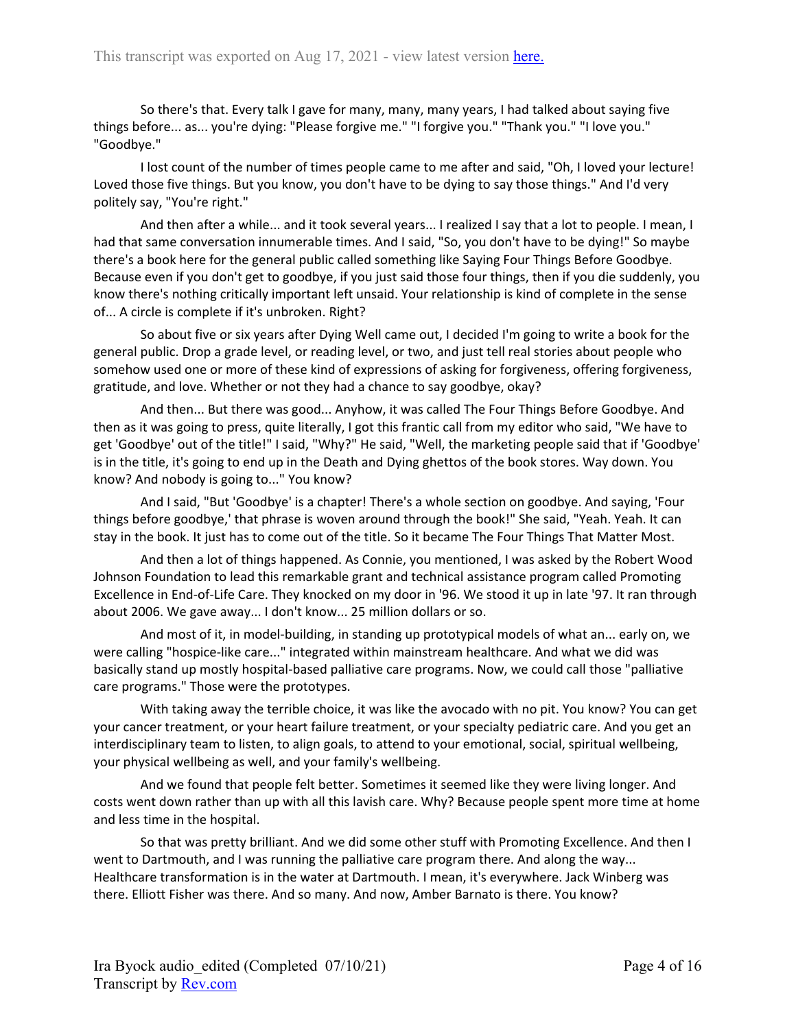So there's that. Every talk I gave for many, many, many years, I had talked about saying five things before... as... you're dying: "Please forgive me." "I forgive you." "Thank you." "I love you." "Goodbye."

I lost count of the number of times people came to me after and said, "Oh, I loved your lecture! Loved those five things. But you know, you don't have to be dying to say those things." And I'd very politely say, "You're right."

And then after a while... and it took several years... I realized I say that a lot to people. I mean, I had that same conversation innumerable times. And I said, "So, you don't have to be dying!" So maybe there's a book here for the general public called something like Saying Four Things Before Goodbye. Because even if you don't get to goodbye, if you just said those four things, then if you die suddenly, you know there's nothing critically important left unsaid. Your relationship is kind of complete in the sense of... A circle is complete if it's unbroken. Right?

So about five or six years after Dying Well came out, I decided I'm going to write a book for the general public. Drop a grade level, or reading level, or two, and just tell real stories about people who somehow used one or more of these kind of expressions of asking for forgiveness, offering forgiveness, gratitude, and love. Whether or not they had a chance to say goodbye, okay?

And then... But there was good... Anyhow, it was called The Four Things Before Goodbye. And then as it was going to press, quite literally, I got this frantic call from my editor who said, "We have to get 'Goodbye' out of the title!" I said, "Why?" He said, "Well, the marketing people said that if 'Goodbye' is in the title, it's going to end up in the Death and Dying ghettos of the book stores. Way down. You know? And nobody is going to..." You know?

And I said, "But 'Goodbye' is a chapter! There's a whole section on goodbye. And saying, 'Four things before goodbye,' that phrase is woven around through the book!" She said, "Yeah. Yeah. It can stay in the book. It just has to come out of the title. So it became The Four Things That Matter Most.

And then a lot of things happened. As Connie, you mentioned, I was asked by the Robert Wood Johnson Foundation to lead this remarkable grant and technical assistance program called Promoting Excellence in End-of-Life Care. They knocked on my door in '96. We stood it up in late '97. It ran through about 2006. We gave away... I don't know... 25 million dollars or so.

And most of it, in model-building, in standing up prototypical models of what an... early on, we were calling "hospice-like care..." integrated within mainstream healthcare. And what we did was basically stand up mostly hospital-based palliative care programs. Now, we could call those "palliative care programs." Those were the prototypes.

With taking away the terrible choice, it was like the avocado with no pit. You know? You can get your cancer treatment, or your heart failure treatment, or your specialty pediatric care. And you get an interdisciplinary team to listen, to align goals, to attend to your emotional, social, spiritual wellbeing, your physical wellbeing as well, and your family's wellbeing.

And we found that people felt better. Sometimes it seemed like they were living longer. And costs went down rather than up with all this lavish care. Why? Because people spent more time at home and less time in the hospital.

So that was pretty brilliant. And we did some other stuff with Promoting Excellence. And then I went to Dartmouth, and I was running the palliative care program there. And along the way... Healthcare transformation is in the water at Dartmouth. I mean, it's everywhere. Jack Winberg was there. Elliott Fisher was there. And so many. And now, Amber Barnato is there. You know?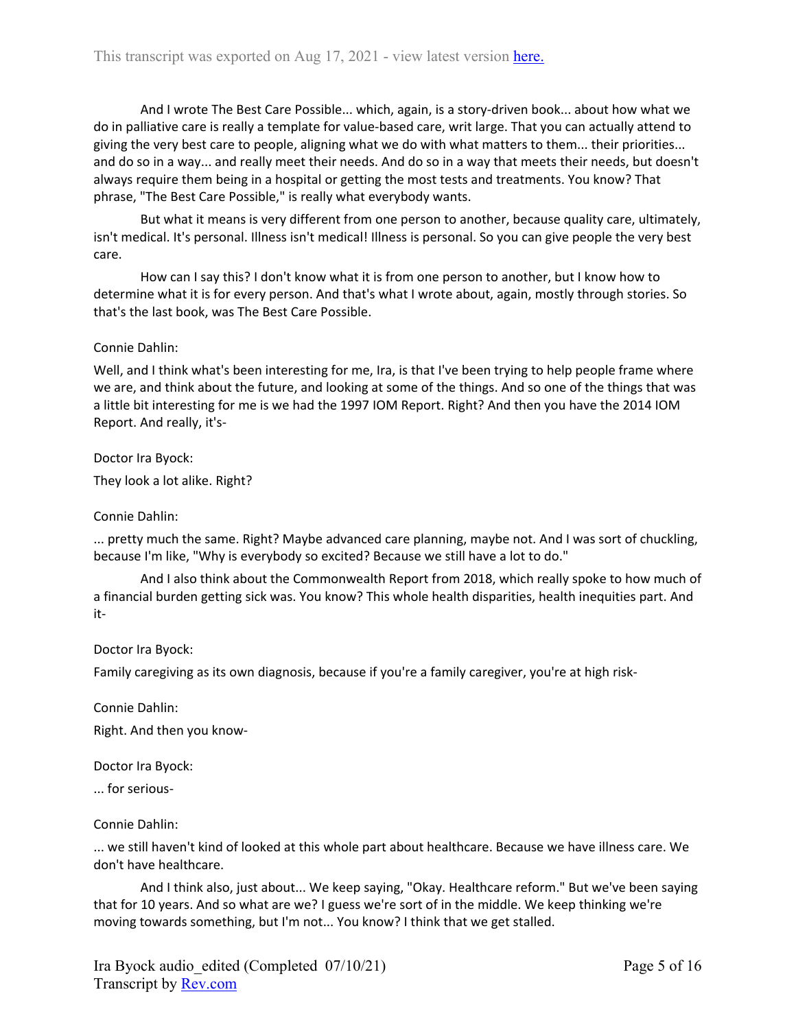And I wrote The Best Care Possible... which, again, is a story-driven book... about how what we do in palliative care is really a template for value-based care, writ large. That you can actually attend to giving the very best care to people, aligning what we do with what matters to them... their priorities... and do so in a way... and really meet their needs. And do so in a way that meets their needs, but doesn't always require them being in a hospital or getting the most tests and treatments. You know? That phrase, "The Best Care Possible," is really what everybody wants.

But what it means is very different from one person to another, because quality care, ultimately, isn't medical. It's personal. Illness isn't medical! Illness is personal. So you can give people the very best care.

How can I say this? I don't know what it is from one person to another, but I know how to determine what it is for every person. And that's what I wrote about, again, mostly through stories. So that's the last book, was The Best Care Possible.

## Connie Dahlin:

Well, and I think what's been interesting for me, Ira, is that I've been trying to help people frame where we are, and think about the future, and looking at some of the things. And so one of the things that was a little bit interesting for me is we had the 1997 IOM Report. Right? And then you have the 2014 IOM Report. And really, it's-

Doctor Ira Byock:

They look a lot alike. Right?

## Connie Dahlin:

... pretty much the same. Right? Maybe advanced care planning, maybe not. And I was sort of chuckling, because I'm like, "Why is everybody so excited? Because we still have a lot to do."

And I also think about the Commonwealth Report from 2018, which really spoke to how much of a financial burden getting sick was. You know? This whole health disparities, health inequities part. And it-

## Doctor Ira Byock:

Family caregiving as its own diagnosis, because if you're a family caregiver, you're at high risk-

Connie Dahlin:

Right. And then you know-

Doctor Ira Byock:

... for serious-

## Connie Dahlin:

... we still haven't kind of looked at this whole part about healthcare. Because we have illness care. We don't have healthcare.

And I think also, just about... We keep saying, "Okay. Healthcare reform." But we've been saying that for 10 years. And so what are we? I guess we're sort of in the middle. We keep thinking we're moving towards something, but I'm not... You know? I think that we get stalled.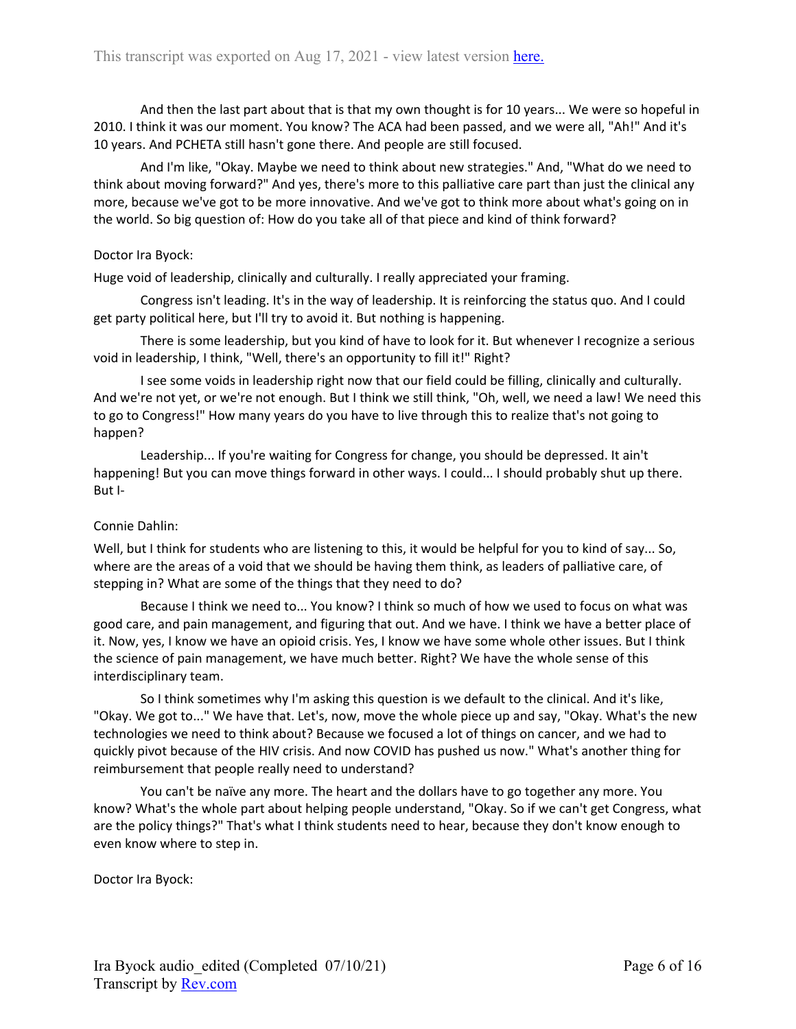And then the last part about that is that my own thought is for 10 years... We were so hopeful in 2010. I think it was our moment. You know? The ACA had been passed, and we were all, "Ah!" And it's 10 years. And PCHETA still hasn't gone there. And people are still focused.

And I'm like, "Okay. Maybe we need to think about new strategies." And, "What do we need to think about moving forward?" And yes, there's more to this palliative care part than just the clinical any more, because we've got to be more innovative. And we've got to think more about what's going on in the world. So big question of: How do you take all of that piece and kind of think forward?

## Doctor Ira Byock:

Huge void of leadership, clinically and culturally. I really appreciated your framing.

Congress isn't leading. It's in the way of leadership. It is reinforcing the status quo. And I could get party political here, but I'll try to avoid it. But nothing is happening.

There is some leadership, but you kind of have to look for it. But whenever I recognize a serious void in leadership, I think, "Well, there's an opportunity to fill it!" Right?

I see some voids in leadership right now that our field could be filling, clinically and culturally. And we're not yet, or we're not enough. But I think we still think, "Oh, well, we need a law! We need this to go to Congress!" How many years do you have to live through this to realize that's not going to happen?

Leadership... If you're waiting for Congress for change, you should be depressed. It ain't happening! But you can move things forward in other ways. I could... I should probably shut up there. But I-

## Connie Dahlin:

Well, but I think for students who are listening to this, it would be helpful for you to kind of say... So, where are the areas of a void that we should be having them think, as leaders of palliative care, of stepping in? What are some of the things that they need to do?

Because I think we need to... You know? I think so much of how we used to focus on what was good care, and pain management, and figuring that out. And we have. I think we have a better place of it. Now, yes, I know we have an opioid crisis. Yes, I know we have some whole other issues. But I think the science of pain management, we have much better. Right? We have the whole sense of this interdisciplinary team.

So I think sometimes why I'm asking this question is we default to the clinical. And it's like, "Okay. We got to..." We have that. Let's, now, move the whole piece up and say, "Okay. What's the new technologies we need to think about? Because we focused a lot of things on cancer, and we had to quickly pivot because of the HIV crisis. And now COVID has pushed us now." What's another thing for reimbursement that people really need to understand?

You can't be naïve any more. The heart and the dollars have to go together any more. You know? What's the whole part about helping people understand, "Okay. So if we can't get Congress, what are the policy things?" That's what I think students need to hear, because they don't know enough to even know where to step in.

Doctor Ira Byock: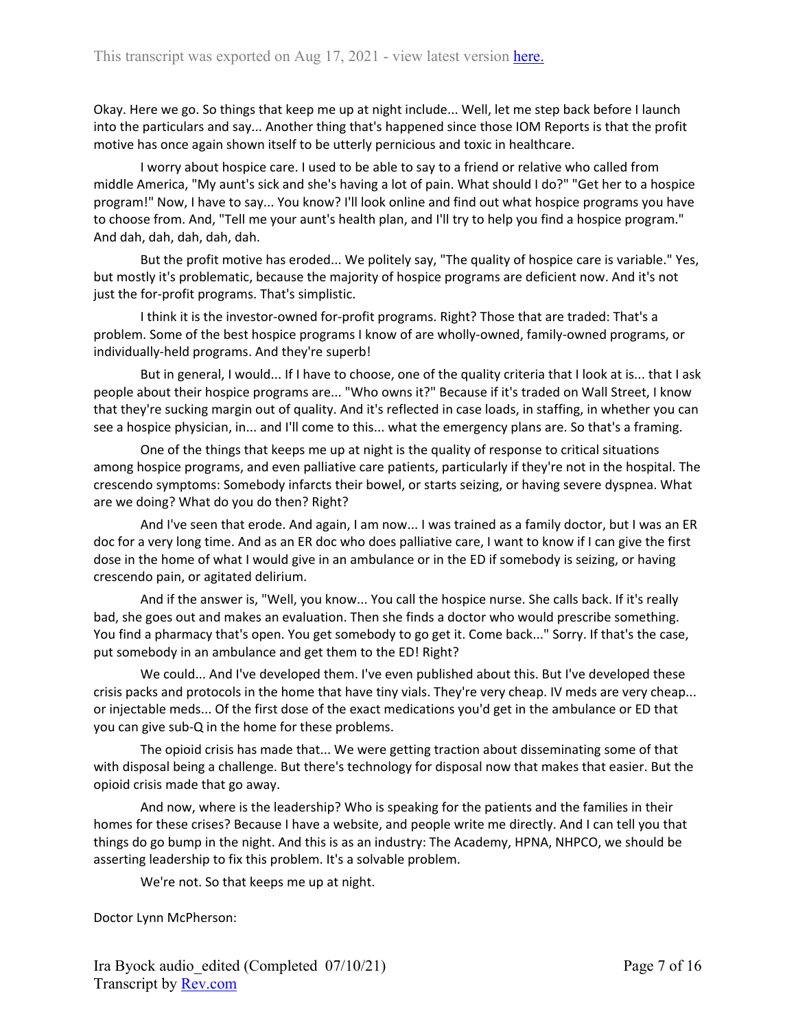Okay. Here we go. So things that keep me up at night include... Well, let me step back before I launch into the particulars and say... Another thing that's happened since those IOM Reports is that the profit motive has once again shown itself to be utterly pernicious and toxic in healthcare.

I worry about hospice care. I used to be able to say to a friend or relative who called from middle America, "My aunt's sick and she's having a lot of pain. What should I do?" "Get her to a hospice program!" Now, I have to say... You know? I'll look online and find out what hospice programs you have to choose from. And, "Tell me your aunt's health plan, and I'll try to help you find a hospice program." And dah, dah, dah, dah, dah.

But the profit motive has eroded... We politely say, "The quality of hospice care is variable." Yes, but mostly it's problematic, because the majority of hospice programs are deficient now. And it's not just the for-profit programs. That's simplistic.

I think it is the investor-owned for-profit programs. Right? Those that are traded: That's a problem. Some of the best hospice programs I know of are wholly-owned, family-owned programs, or individually-held programs. And they're superb!

But in general, I would... If I have to choose, one of the quality criteria that I look at is... that I ask people about their hospice programs are... "Who owns it?" Because if it's traded on Wall Street, I know that they're sucking margin out of quality. And it's reflected in case loads, in staffing, in whether you can see a hospice physician, in... and I'll come to this... what the emergency plans are. So that's a framing.

One of the things that keeps me up at night is the quality of response to critical situations among hospice programs, and even palliative care patients, particularly if they're not in the hospital. The crescendo symptoms: Somebody infarcts their bowel, or starts seizing, or having severe dyspnea. What are we doing? What do you do then? Right?

And I've seen that erode. And again, I am now... I was trained as a family doctor, but I was an ER doc for a very long time. And as an ER doc who does palliative care, I want to know if I can give the first dose in the home of what I would give in an ambulance or in the ED if somebody is seizing, or having crescendo pain, or agitated delirium.

And if the answer is, "Well, you know... You call the hospice nurse. She calls back. If it's really bad, she goes out and makes an evaluation. Then she finds a doctor who would prescribe something. You find a pharmacy that's open. You get somebody to go get it. Come back..." Sorry. If that's the case, put somebody in an ambulance and get them to the ED! Right?

We could... And I've developed them. I've even published about this. But I've developed these crisis packs and protocols in the home that have tiny vials. They're very cheap. IV meds are very cheap... or injectable meds... Of the first dose of the exact medications you'd get in the ambulance or ED that you can give sub-Q in the home for these problems.

The opioid crisis has made that... We were getting traction about disseminating some of that with disposal being a challenge. But there's technology for disposal now that makes that easier. But the opioid crisis made that go away.

And now, where is the leadership? Who is speaking for the patients and the families in their homes for these crises? Because I have a website, and people write me directly. And I can tell you that things do go bump in the night. And this is as an industry: The Academy, HPNA, NHPCO, we should be asserting leadership to fix this problem. It's a solvable problem.

We're not. So that keeps me up at night.

Doctor Lynn McPherson: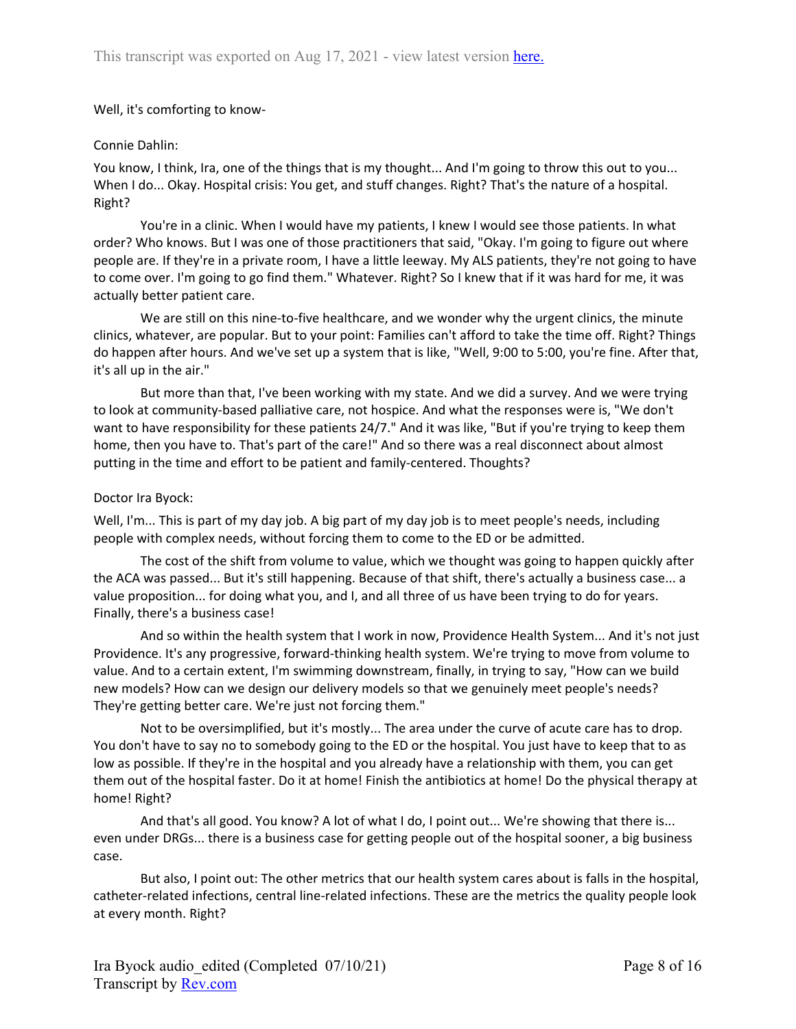## Well, it's comforting to know-

## Connie Dahlin:

You know, I think, Ira, one of the things that is my thought... And I'm going to throw this out to you... When I do... Okay. Hospital crisis: You get, and stuff changes. Right? That's the nature of a hospital. Right?

You're in a clinic. When I would have my patients, I knew I would see those patients. In what order? Who knows. But I was one of those practitioners that said, "Okay. I'm going to figure out where people are. If they're in a private room, I have a little leeway. My ALS patients, they're not going to have to come over. I'm going to go find them." Whatever. Right? So I knew that if it was hard for me, it was actually better patient care.

We are still on this nine-to-five healthcare, and we wonder why the urgent clinics, the minute clinics, whatever, are popular. But to your point: Families can't afford to take the time off. Right? Things do happen after hours. And we've set up a system that is like, "Well, 9:00 to 5:00, you're fine. After that, it's all up in the air."

But more than that, I've been working with my state. And we did a survey. And we were trying to look at community-based palliative care, not hospice. And what the responses were is, "We don't want to have responsibility for these patients 24/7." And it was like, "But if you're trying to keep them home, then you have to. That's part of the care!" And so there was a real disconnect about almost putting in the time and effort to be patient and family-centered. Thoughts?

## Doctor Ira Byock:

Well, I'm... This is part of my day job. A big part of my day job is to meet people's needs, including people with complex needs, without forcing them to come to the ED or be admitted.

The cost of the shift from volume to value, which we thought was going to happen quickly after the ACA was passed... But it's still happening. Because of that shift, there's actually a business case... a value proposition... for doing what you, and I, and all three of us have been trying to do for years. Finally, there's a business case!

And so within the health system that I work in now, Providence Health System... And it's not just Providence. It's any progressive, forward-thinking health system. We're trying to move from volume to value. And to a certain extent, I'm swimming downstream, finally, in trying to say, "How can we build new models? How can we design our delivery models so that we genuinely meet people's needs? They're getting better care. We're just not forcing them."

Not to be oversimplified, but it's mostly... The area under the curve of acute care has to drop. You don't have to say no to somebody going to the ED or the hospital. You just have to keep that to as low as possible. If they're in the hospital and you already have a relationship with them, you can get them out of the hospital faster. Do it at home! Finish the antibiotics at home! Do the physical therapy at home! Right?

And that's all good. You know? A lot of what I do, I point out... We're showing that there is... even under DRGs... there is a business case for getting people out of the hospital sooner, a big business case.

But also, I point out: The other metrics that our health system cares about is falls in the hospital, catheter-related infections, central line-related infections. These are the metrics the quality people look at every month. Right?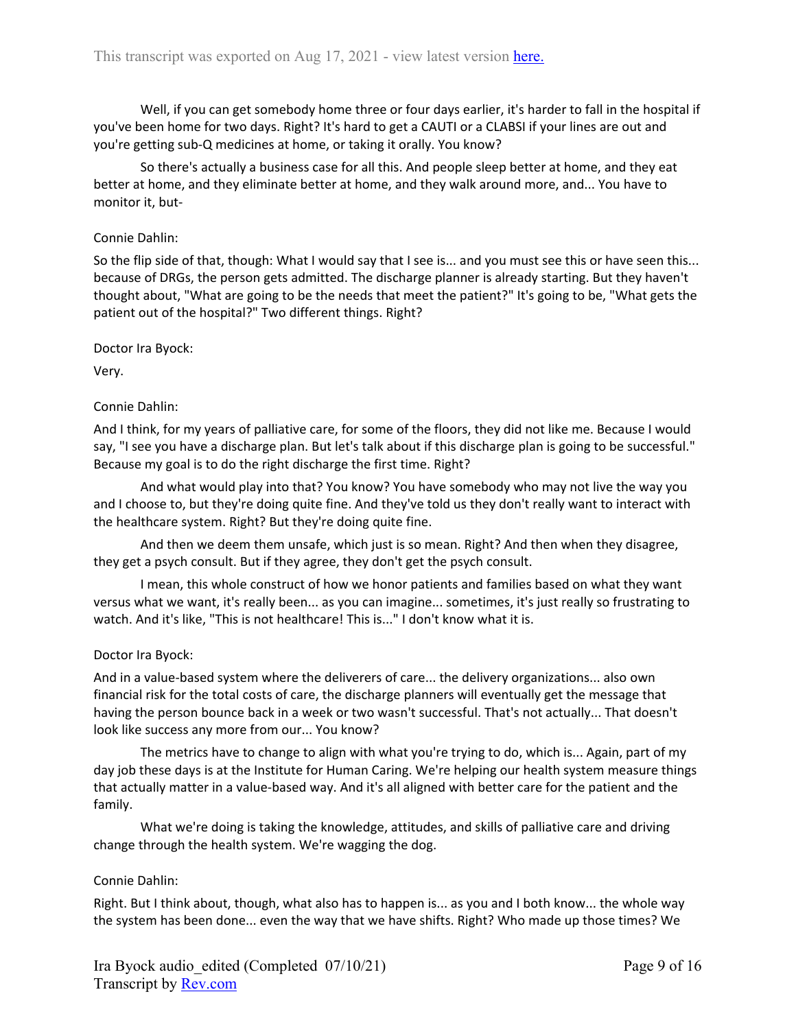Well, if you can get somebody home three or four days earlier, it's harder to fall in the hospital if you've been home for two days. Right? It's hard to get a CAUTI or a CLABSI if your lines are out and you're getting sub-Q medicines at home, or taking it orally. You know?

So there's actually a business case for all this. And people sleep better at home, and they eat better at home, and they eliminate better at home, and they walk around more, and... You have to monitor it, but-

### Connie Dahlin:

So the flip side of that, though: What I would say that I see is... and you must see this or have seen this... because of DRGs, the person gets admitted. The discharge planner is already starting. But they haven't thought about, "What are going to be the needs that meet the patient?" It's going to be, "What gets the patient out of the hospital?" Two different things. Right?

Doctor Ira Byock:

Very.

## Connie Dahlin:

And I think, for my years of palliative care, for some of the floors, they did not like me. Because I would say, "I see you have a discharge plan. But let's talk about if this discharge plan is going to be successful." Because my goal is to do the right discharge the first time. Right?

And what would play into that? You know? You have somebody who may not live the way you and I choose to, but they're doing quite fine. And they've told us they don't really want to interact with the healthcare system. Right? But they're doing quite fine.

And then we deem them unsafe, which just is so mean. Right? And then when they disagree, they get a psych consult. But if they agree, they don't get the psych consult.

I mean, this whole construct of how we honor patients and families based on what they want versus what we want, it's really been... as you can imagine... sometimes, it's just really so frustrating to watch. And it's like, "This is not healthcare! This is..." I don't know what it is.

#### Doctor Ira Byock:

And in a value-based system where the deliverers of care... the delivery organizations... also own financial risk for the total costs of care, the discharge planners will eventually get the message that having the person bounce back in a week or two wasn't successful. That's not actually... That doesn't look like success any more from our... You know?

The metrics have to change to align with what you're trying to do, which is... Again, part of my day job these days is at the Institute for Human Caring. We're helping our health system measure things that actually matter in a value-based way. And it's all aligned with better care for the patient and the family.

What we're doing is taking the knowledge, attitudes, and skills of palliative care and driving change through the health system. We're wagging the dog.

#### Connie Dahlin:

Right. But I think about, though, what also has to happen is... as you and I both know... the whole way the system has been done... even the way that we have shifts. Right? Who made up those times? We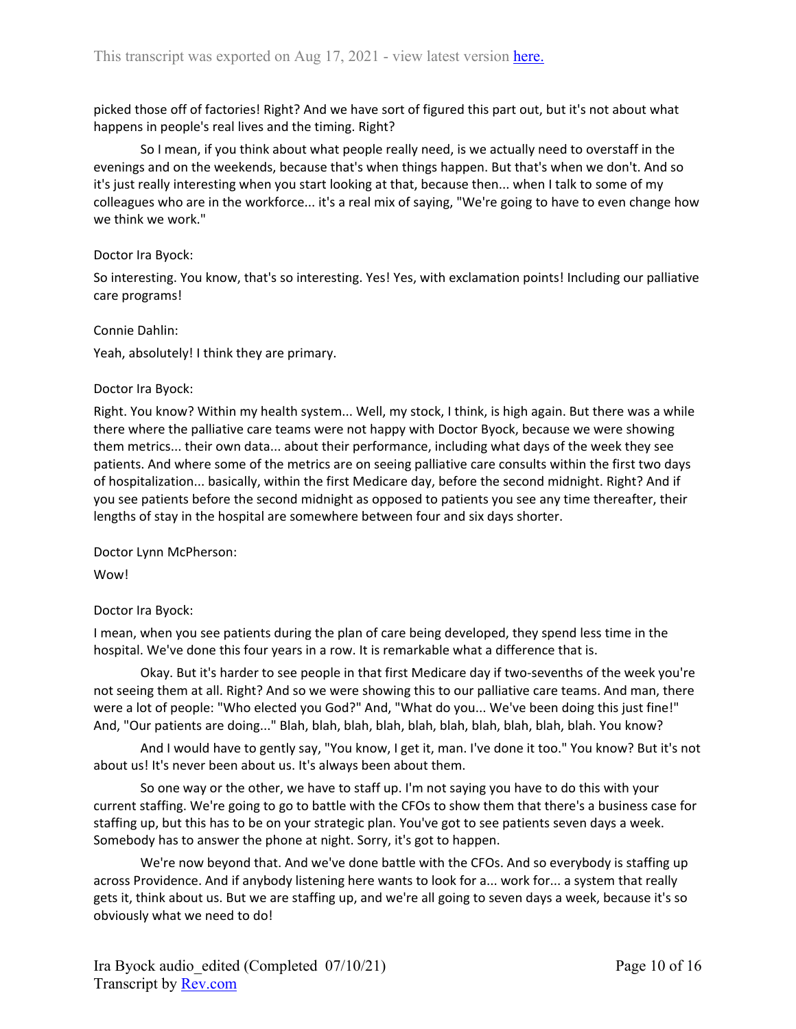picked those off of factories! Right? And we have sort of figured this part out, but it's not about what happens in people's real lives and the timing. Right?

So I mean, if you think about what people really need, is we actually need to overstaff in the evenings and on the weekends, because that's when things happen. But that's when we don't. And so it's just really interesting when you start looking at that, because then... when I talk to some of my colleagues who are in the workforce... it's a real mix of saying, "We're going to have to even change how we think we work."

## Doctor Ira Byock:

So interesting. You know, that's so interesting. Yes! Yes, with exclamation points! Including our palliative care programs!

## Connie Dahlin:

Yeah, absolutely! I think they are primary.

## Doctor Ira Byock:

Right. You know? Within my health system... Well, my stock, I think, is high again. But there was a while there where the palliative care teams were not happy with Doctor Byock, because we were showing them metrics... their own data... about their performance, including what days of the week they see patients. And where some of the metrics are on seeing palliative care consults within the first two days of hospitalization... basically, within the first Medicare day, before the second midnight. Right? And if you see patients before the second midnight as opposed to patients you see any time thereafter, their lengths of stay in the hospital are somewhere between four and six days shorter.

Doctor Lynn McPherson:

Wow!

# Doctor Ira Byock:

I mean, when you see patients during the plan of care being developed, they spend less time in the hospital. We've done this four years in a row. It is remarkable what a difference that is.

Okay. But it's harder to see people in that first Medicare day if two-sevenths of the week you're not seeing them at all. Right? And so we were showing this to our palliative care teams. And man, there were a lot of people: "Who elected you God?" And, "What do you... We've been doing this just fine!" And, "Our patients are doing..." Blah, blah, blah, blah, blah, blah, blah, blah, blah, blah. You know?

And I would have to gently say, "You know, I get it, man. I've done it too." You know? But it's not about us! It's never been about us. It's always been about them.

So one way or the other, we have to staff up. I'm not saying you have to do this with your current staffing. We're going to go to battle with the CFOs to show them that there's a business case for staffing up, but this has to be on your strategic plan. You've got to see patients seven days a week. Somebody has to answer the phone at night. Sorry, it's got to happen.

We're now beyond that. And we've done battle with the CFOs. And so everybody is staffing up across Providence. And if anybody listening here wants to look for a... work for... a system that really gets it, think about us. But we are staffing up, and we're all going to seven days a week, because it's so obviously what we need to do!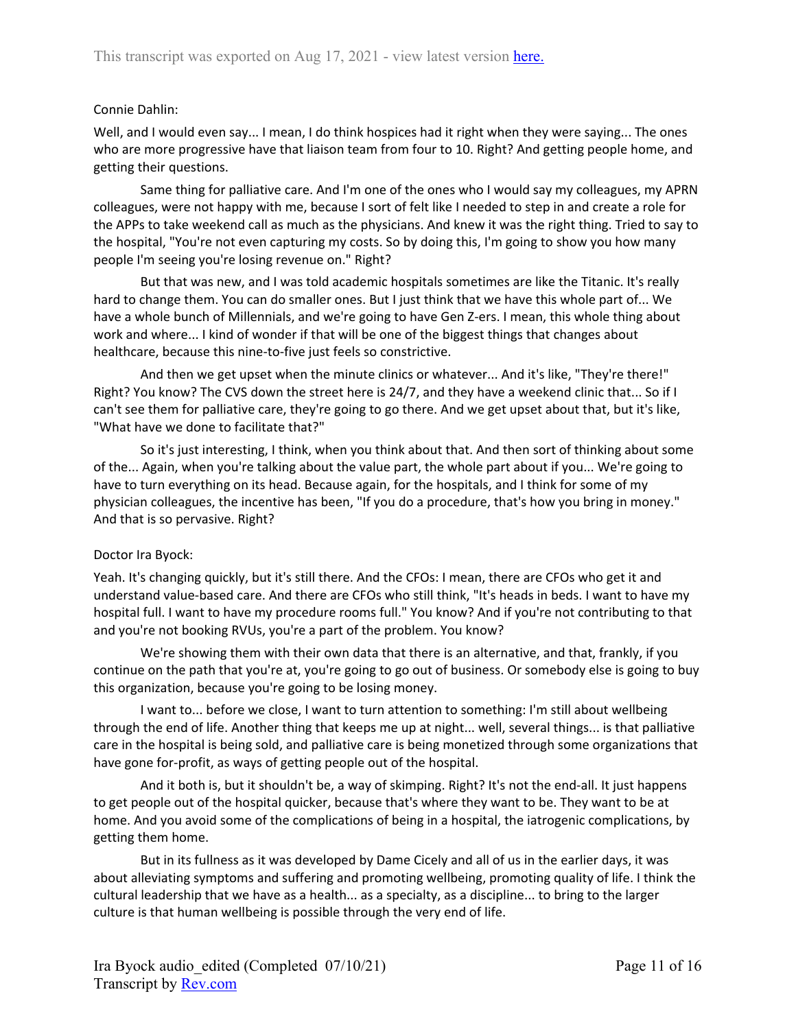## Connie Dahlin:

Well, and I would even say... I mean, I do think hospices had it right when they were saying... The ones who are more progressive have that liaison team from four to 10. Right? And getting people home, and getting their questions.

Same thing for palliative care. And I'm one of the ones who I would say my colleagues, my APRN colleagues, were not happy with me, because I sort of felt like I needed to step in and create a role for the APPs to take weekend call as much as the physicians. And knew it was the right thing. Tried to say to the hospital, "You're not even capturing my costs. So by doing this, I'm going to show you how many people I'm seeing you're losing revenue on." Right?

But that was new, and I was told academic hospitals sometimes are like the Titanic. It's really hard to change them. You can do smaller ones. But I just think that we have this whole part of... We have a whole bunch of Millennials, and we're going to have Gen Z-ers. I mean, this whole thing about work and where... I kind of wonder if that will be one of the biggest things that changes about healthcare, because this nine-to-five just feels so constrictive.

And then we get upset when the minute clinics or whatever... And it's like, "They're there!" Right? You know? The CVS down the street here is 24/7, and they have a weekend clinic that... So if I can't see them for palliative care, they're going to go there. And we get upset about that, but it's like, "What have we done to facilitate that?"

So it's just interesting, I think, when you think about that. And then sort of thinking about some of the... Again, when you're talking about the value part, the whole part about if you... We're going to have to turn everything on its head. Because again, for the hospitals, and I think for some of my physician colleagues, the incentive has been, "If you do a procedure, that's how you bring in money." And that is so pervasive. Right?

## Doctor Ira Byock:

Yeah. It's changing quickly, but it's still there. And the CFOs: I mean, there are CFOs who get it and understand value-based care. And there are CFOs who still think, "It's heads in beds. I want to have my hospital full. I want to have my procedure rooms full." You know? And if you're not contributing to that and you're not booking RVUs, you're a part of the problem. You know?

We're showing them with their own data that there is an alternative, and that, frankly, if you continue on the path that you're at, you're going to go out of business. Or somebody else is going to buy this organization, because you're going to be losing money.

I want to... before we close, I want to turn attention to something: I'm still about wellbeing through the end of life. Another thing that keeps me up at night... well, several things... is that palliative care in the hospital is being sold, and palliative care is being monetized through some organizations that have gone for-profit, as ways of getting people out of the hospital.

And it both is, but it shouldn't be, a way of skimping. Right? It's not the end-all. It just happens to get people out of the hospital quicker, because that's where they want to be. They want to be at home. And you avoid some of the complications of being in a hospital, the iatrogenic complications, by getting them home.

But in its fullness as it was developed by Dame Cicely and all of us in the earlier days, it was about alleviating symptoms and suffering and promoting wellbeing, promoting quality of life. I think the cultural leadership that we have as a health... as a specialty, as a discipline... to bring to the larger culture is that human wellbeing is possible through the very end of life.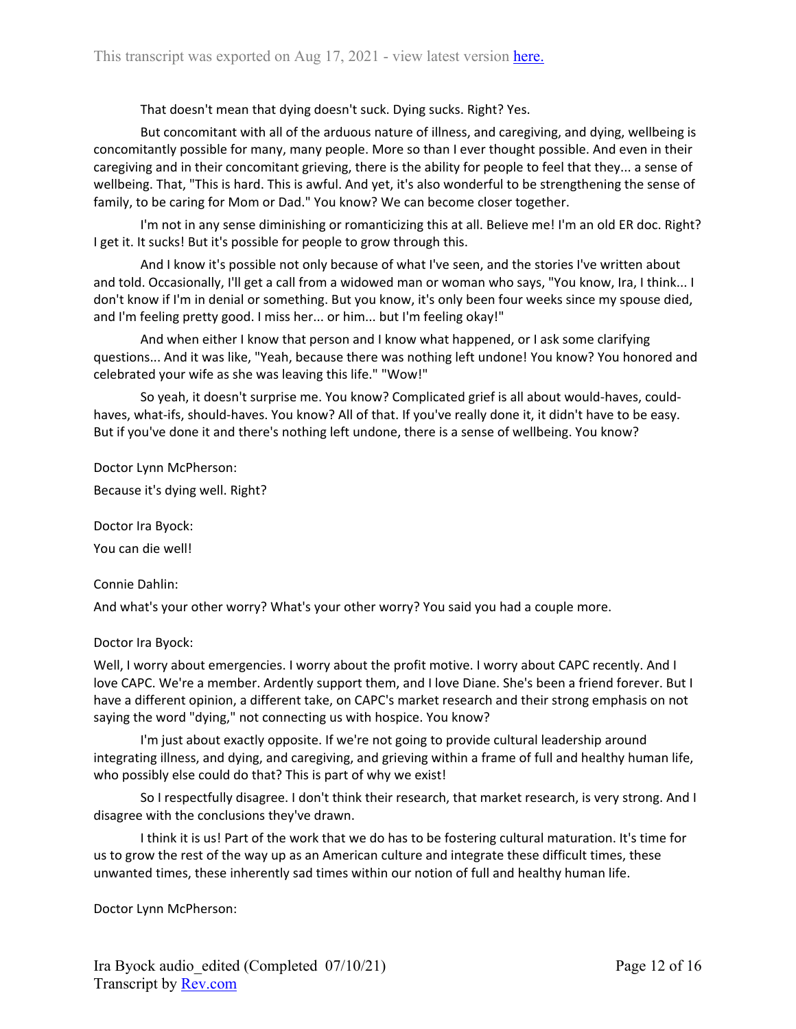That doesn't mean that dying doesn't suck. Dying sucks. Right? Yes.

But concomitant with all of the arduous nature of illness, and caregiving, and dying, wellbeing is concomitantly possible for many, many people. More so than I ever thought possible. And even in their caregiving and in their concomitant grieving, there is the ability for people to feel that they... a sense of wellbeing. That, "This is hard. This is awful. And yet, it's also wonderful to be strengthening the sense of family, to be caring for Mom or Dad." You know? We can become closer together.

I'm not in any sense diminishing or romanticizing this at all. Believe me! I'm an old ER doc. Right? I get it. It sucks! But it's possible for people to grow through this.

And I know it's possible not only because of what I've seen, and the stories I've written about and told. Occasionally, I'll get a call from a widowed man or woman who says, "You know, Ira, I think... I don't know if I'm in denial or something. But you know, it's only been four weeks since my spouse died, and I'm feeling pretty good. I miss her... or him... but I'm feeling okay!"

And when either I know that person and I know what happened, or I ask some clarifying questions... And it was like, "Yeah, because there was nothing left undone! You know? You honored and celebrated your wife as she was leaving this life." "Wow!"

So yeah, it doesn't surprise me. You know? Complicated grief is all about would-haves, couldhaves, what-ifs, should-haves. You know? All of that. If you've really done it, it didn't have to be easy. But if you've done it and there's nothing left undone, there is a sense of wellbeing. You know?

Doctor Lynn McPherson: Because it's dying well. Right?

Doctor Ira Byock: You can die well!

Connie Dahlin:

And what's your other worry? What's your other worry? You said you had a couple more.

## Doctor Ira Byock:

Well, I worry about emergencies. I worry about the profit motive. I worry about CAPC recently. And I love CAPC. We're a member. Ardently support them, and I love Diane. She's been a friend forever. But I have a different opinion, a different take, on CAPC's market research and their strong emphasis on not saying the word "dying," not connecting us with hospice. You know?

I'm just about exactly opposite. If we're not going to provide cultural leadership around integrating illness, and dying, and caregiving, and grieving within a frame of full and healthy human life, who possibly else could do that? This is part of why we exist!

So I respectfully disagree. I don't think their research, that market research, is very strong. And I disagree with the conclusions they've drawn.

I think it is us! Part of the work that we do has to be fostering cultural maturation. It's time for us to grow the rest of the way up as an American culture and integrate these difficult times, these unwanted times, these inherently sad times within our notion of full and healthy human life.

Doctor Lynn McPherson: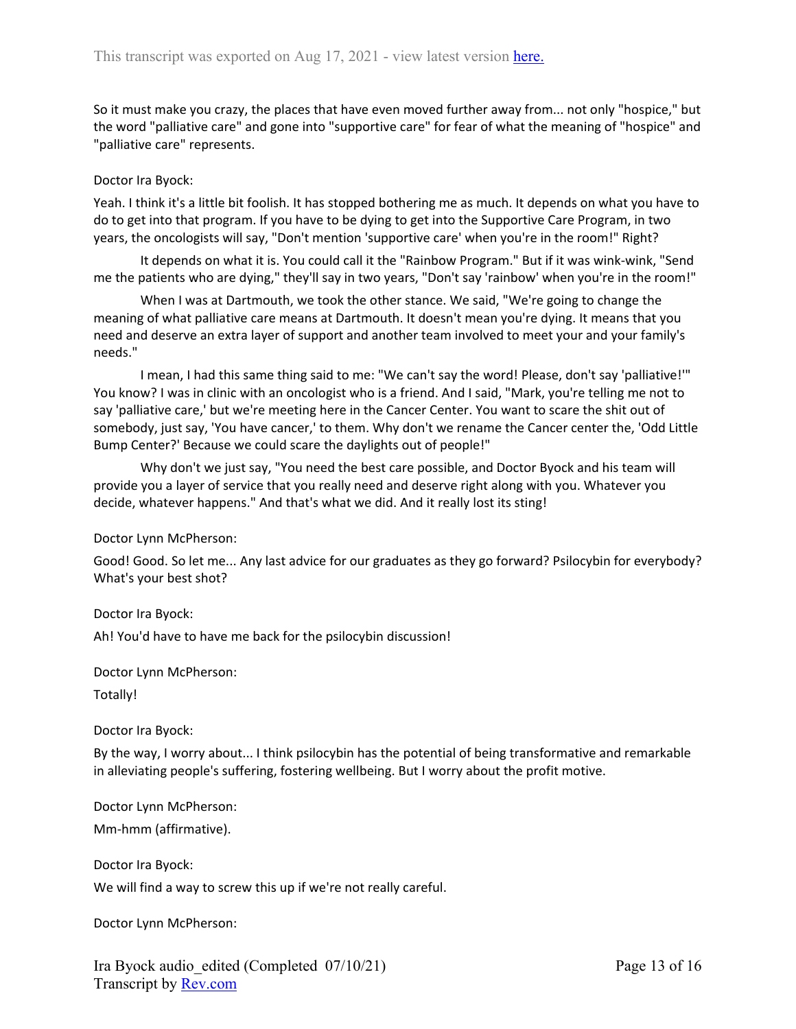So it must make you crazy, the places that have even moved further away from... not only "hospice," but the word "palliative care" and gone into "supportive care" for fear of what the meaning of "hospice" and "palliative care" represents.

### Doctor Ira Byock:

Yeah. I think it's a little bit foolish. It has stopped bothering me as much. It depends on what you have to do to get into that program. If you have to be dying to get into the Supportive Care Program, in two years, the oncologists will say, "Don't mention 'supportive care' when you're in the room!" Right?

It depends on what it is. You could call it the "Rainbow Program." But if it was wink-wink, "Send me the patients who are dying," they'll say in two years, "Don't say 'rainbow' when you're in the room!"

When I was at Dartmouth, we took the other stance. We said, "We're going to change the meaning of what palliative care means at Dartmouth. It doesn't mean you're dying. It means that you need and deserve an extra layer of support and another team involved to meet your and your family's needs."

I mean, I had this same thing said to me: "We can't say the word! Please, don't say 'palliative!'" You know? I was in clinic with an oncologist who is a friend. And I said, "Mark, you're telling me not to say 'palliative care,' but we're meeting here in the Cancer Center. You want to scare the shit out of somebody, just say, 'You have cancer,' to them. Why don't we rename the Cancer center the, 'Odd Little Bump Center?' Because we could scare the daylights out of people!"

Why don't we just say, "You need the best care possible, and Doctor Byock and his team will provide you a layer of service that you really need and deserve right along with you. Whatever you decide, whatever happens." And that's what we did. And it really lost its sting!

Doctor Lynn McPherson:

Good! Good. So let me... Any last advice for our graduates as they go forward? Psilocybin for everybody? What's your best shot?

Doctor Ira Byock:

Ah! You'd have to have me back for the psilocybin discussion!

Doctor Lynn McPherson:

Totally!

Doctor Ira Byock:

By the way, I worry about... I think psilocybin has the potential of being transformative and remarkable in alleviating people's suffering, fostering wellbeing. But I worry about the profit motive.

Doctor Lynn McPherson:

Mm-hmm (affirmative).

Doctor Ira Byock: We will find a way to screw this up if we're not really careful.

Doctor Lynn McPherson:

Ira Byock audio\_edited (Completed 07/10/21) Transcript by [Rev.com](https://www.rev.com/)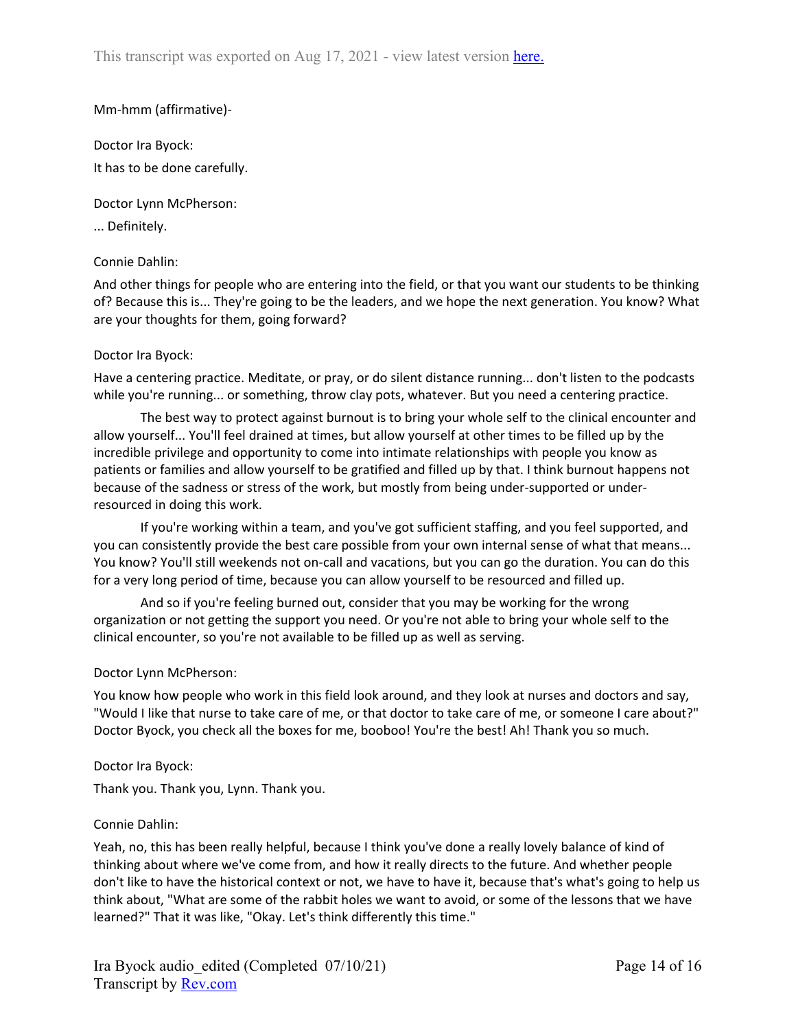## Mm-hmm (affirmative)-

Doctor Ira Byock: It has to be done carefully.

Doctor Lynn McPherson:

... Definitely.

## Connie Dahlin:

And other things for people who are entering into the field, or that you want our students to be thinking of? Because this is... They're going to be the leaders, and we hope the next generation. You know? What are your thoughts for them, going forward?

## Doctor Ira Byock:

Have a centering practice. Meditate, or pray, or do silent distance running... don't listen to the podcasts while you're running... or something, throw clay pots, whatever. But you need a centering practice.

The best way to protect against burnout is to bring your whole self to the clinical encounter and allow yourself... You'll feel drained at times, but allow yourself at other times to be filled up by the incredible privilege and opportunity to come into intimate relationships with people you know as patients or families and allow yourself to be gratified and filled up by that. I think burnout happens not because of the sadness or stress of the work, but mostly from being under-supported or underresourced in doing this work.

If you're working within a team, and you've got sufficient staffing, and you feel supported, and you can consistently provide the best care possible from your own internal sense of what that means... You know? You'll still weekends not on-call and vacations, but you can go the duration. You can do this for a very long period of time, because you can allow yourself to be resourced and filled up.

And so if you're feeling burned out, consider that you may be working for the wrong organization or not getting the support you need. Or you're not able to bring your whole self to the clinical encounter, so you're not available to be filled up as well as serving.

## Doctor Lynn McPherson:

You know how people who work in this field look around, and they look at nurses and doctors and say, "Would I like that nurse to take care of me, or that doctor to take care of me, or someone I care about?" Doctor Byock, you check all the boxes for me, booboo! You're the best! Ah! Thank you so much.

## Doctor Ira Byock:

Thank you. Thank you, Lynn. Thank you.

## Connie Dahlin:

Yeah, no, this has been really helpful, because I think you've done a really lovely balance of kind of thinking about where we've come from, and how it really directs to the future. And whether people don't like to have the historical context or not, we have to have it, because that's what's going to help us think about, "What are some of the rabbit holes we want to avoid, or some of the lessons that we have learned?" That it was like, "Okay. Let's think differently this time."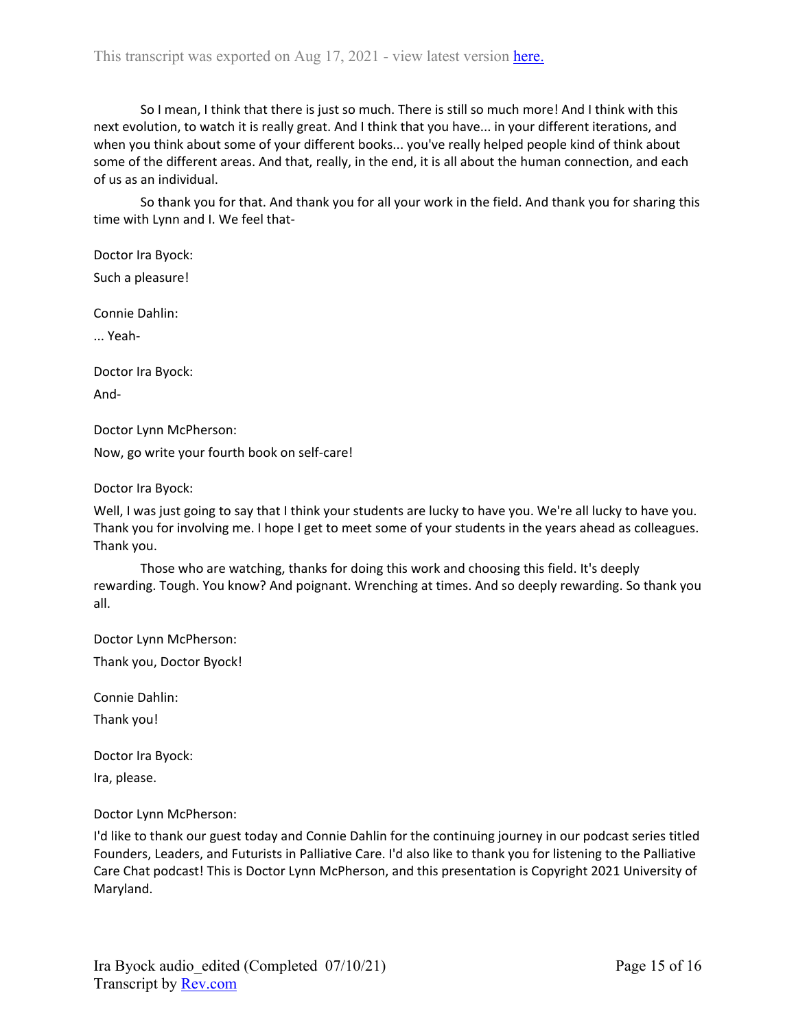So I mean, I think that there is just so much. There is still so much more! And I think with this next evolution, to watch it is really great. And I think that you have... in your different iterations, and when you think about some of your different books... you've really helped people kind of think about some of the different areas. And that, really, in the end, it is all about the human connection, and each of us as an individual.

So thank you for that. And thank you for all your work in the field. And thank you for sharing this time with Lynn and I. We feel that-

Doctor Ira Byock:

Such a pleasure!

Connie Dahlin:

... Yeah-

Doctor Ira Byock: And-

Doctor Lynn McPherson:

Now, go write your fourth book on self-care!

Doctor Ira Byock:

Well, I was just going to say that I think your students are lucky to have you. We're all lucky to have you. Thank you for involving me. I hope I get to meet some of your students in the years ahead as colleagues. Thank you.

Those who are watching, thanks for doing this work and choosing this field. It's deeply rewarding. Tough. You know? And poignant. Wrenching at times. And so deeply rewarding. So thank you all.

Doctor Lynn McPherson:

Thank you, Doctor Byock!

Connie Dahlin:

Thank you!

Doctor Ira Byock:

Ira, please.

Doctor Lynn McPherson:

I'd like to thank our guest today and Connie Dahlin for the continuing journey in our podcast series titled Founders, Leaders, and Futurists in Palliative Care. I'd also like to thank you for listening to the Palliative Care Chat podcast! This is Doctor Lynn McPherson, and this presentation is Copyright 2021 University of Maryland.